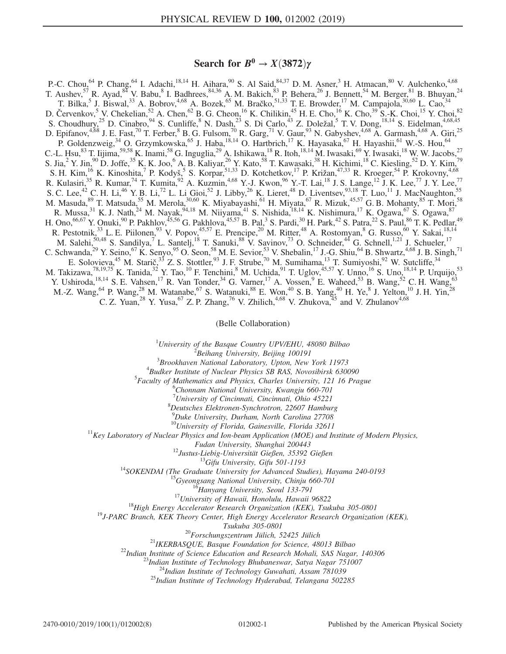## Search for  $B^0 \to X(3872)\gamma$

P.-C. Chou,<sup>64</sup> P. Chang,<sup>64</sup> I. Adachi,<sup>18,14</sup> H. Aihara,<sup>90</sup> S. Al Said,<sup>84,37</sup> D. M. Asner,<sup>3</sup> H. Atmacan,<sup>80</sup> V. Aulchenko,<sup>4,68</sup> T. Aushev,  $^{57}$  R. Ayad,  $^{84}$  V. Babu,  $^{8}$  I. Badhrees,  $^{84,36}$  A. M. Bakich,  $^{83}$  P. Behera,  $^{26}$  J. Bennett,  $^{54}$  M. Berger,  $^{81}$  B. Bhuyan,  $^{24}$ T. Bilka,<sup>5</sup> J. Biswal,<sup>33</sup> A. Bobrov,<sup>4,68</sup> A. Bozek,<sup>65</sup> M. Bračko,<sup>51,33</sup> T. E. Browder,<sup>17</sup> M. Campajola,<sup>30,60</sup> L. Cao,<sup>34</sup> D. Červenkov,<sup>5</sup> V. Chekelian,<sup>52</sup> A. Chen,<sup>62</sup> B. G. Cheon,<sup>16</sup> K. Chilikin,<sup>45</sup> H. E. Cho,<sup>16</sup> K. Cho,<sup>39</sup> S.-K. Choi,<sup>15</sup> Y. Choi,<sup>82</sup> S. Choudhury,<sup>25</sup> D. Cinabro,<sup>94</sup> S. Cunliffe,<sup>8</sup> N. Dash,<sup>23</sup> S. Di Carlo,<sup>43</sup> Z. Doležal,<sup>5</sup> T. V. Dong,<sup>18,14</sup> S. Eidelman,<sup>4,68,45</sup> D. Epifanov,<sup>4,68</sup> J. E. Fast,<sup>70</sup> T. Ferber,<sup>8</sup> B. G. Fulsom,<sup>70</sup> R. Garg,<sup>71</sup> V. Gaur,<sup>93</sup> N. Gabyshev,<sup>4,68</sup> A. Garmash,<sup>4,68</sup> A. Giri,<sup>25</sup> P. Goldenzweig,<sup>34</sup> O. Grzymkowska,<sup>65</sup> J. Haba,<sup>18,14</sup> O. Hartbrich,<sup>17</sup> K. Hayasaka,<sup>67</sup> H. Hayashii,<sup>61</sup> W.-S. Hou,<sup>64</sup> C.-L. Hsu,<sup>83</sup> T. Iijima,<sup>59,58</sup> K. Inami,<sup>58</sup> G. Inguglia,<sup>29</sup> A. Ishikawa,<sup>18</sup> R. Itoh,<sup>18,14</sup> M. Iwasaki,<sup>69</sup> Y. Iwasaki,<sup>18</sup> W. W. Jacobs,<sup>27</sup> S. Jia,<sup>2</sup> Y. Jin,<sup>90</sup> D. Joffe,<sup>35</sup> K. K. Joo,<sup>6</sup> A. B. Kaliyar,<sup>26</sup> Y. Kato,<sup>58</sup> T. Kawasaki,<sup>38</sup> H. Kichimi,<sup>18</sup> C. Kiesling,<sup>52</sup> D. Y. Kim,<sup>79</sup> S. H. Kim,<sup>16</sup> K. Kinoshita,<sup>7</sup> P. Kodyš,<sup>5</sup> S. Korpar,<sup>51,33</sup> D. Kotchetkov,<sup>17</sup> P. Križan,<sup>47,33</sup> R. Kroeger,<sup>54</sup> P. Krokovny,<sup>4,68</sup> R. Kulasiri,<sup>35</sup> R. Kumar,<sup>74</sup> T. Kumita,<sup>92</sup> A. Kuzmin,<sup>4,68</sup> Y.-J. Kwon,<sup>96</sup> Y.-T. Lai,<sup>18</sup> J. S. Lange,<sup>12</sup> J. K. Lee,<sup>77</sup> J. Y. Lee,<sup>77</sup> S. C. Lee,<sup>42</sup> C. H. Li,<sup>46</sup> Y. B. Li,<sup>72</sup> L. Li Gioi,<sup>52</sup> J. Libby,<sup>26</sup> K. Lieret,<sup>48</sup> D. Liventsev,<sup>93,18</sup> T. Luo,<sup>11</sup> J. MacNaughton,<sup>55</sup> M. Masuda, <sup>89</sup> T. Matsuda, <sup>55</sup> M. Merola, <sup>30,60</sup> K. Miyabayashi, <sup>61</sup> H. Miyata, <sup>67</sup> R. Mizuk, <sup>45,57</sup> G. B. Mohanty, <sup>85</sup> T. Mori, <sup>58</sup> R. Mussa,  $31$  K. J. Nath,  $24$  M. Nayak,  $94,18$  M. Niiyama,  $41$  S. Nishida,  $18,14$  K. Nishimura,  $17$  K. Ogawa,  $67$  S. Ogawa,  $87$ H. Ono,<sup>66,67</sup> Y. Onuki,<sup>90</sup> P. Pakhlov,<sup>45,56</sup> G. Pakhlova,<sup>45,57</sup> B. Pal,<sup>3</sup> S. Pardi,<sup>30</sup> H. Park,<sup>42</sup> S. Patra,<sup>22</sup> S. Paul,<sup>86</sup> T. K. Pedlar,<sup>49</sup> R. Pestotnik, $3^3$  L. E. Piilonen, $9^3$  V. Popov, $45,57$  E. Prencipe, $2^0$  M. Ritter, $4^8$  A. Rostomyan, $8$  G. Russo, $6^0$  Y. Sakai, $18,14$ M. Salehi,<sup>50,48</sup> S. Sandilya,<sup>7</sup> L. Santelj,<sup>18</sup> T. Sanuki,<sup>88</sup> V. Savinov,<sup>73</sup> O. Schneider,<sup>44</sup> G. Schnell,<sup>1,21</sup> J. Schueler,<sup>17</sup> C. Schwanda,<sup>29</sup> Y. Seino,<sup>67</sup> K. Senyo,<sup>95</sup> O. Seon,<sup>58</sup> M. E. Sevior,<sup>53</sup> V. Shebalin,<sup>17</sup> J.-G. Shiu,<sup>64</sup> B. Shwartz,<sup>4,68</sup> J. B. Singh,<sup>71</sup> E. Solovieva, <sup>45</sup> M. Starič, <sup>33</sup> Z. S. Stottler, <sup>93</sup> J. F. Strube, <sup>70</sup> M. Sumihama, <sup>13</sup> T. Sumiyoshi, <sup>92</sup> W. Sutcliffe, <sup>34</sup> M. Takizawa,<sup>78,19,75</sup> K. Tanida,<sup>32</sup> Y. Tao,<sup>10</sup> F. Tenchini,<sup>8</sup> M. Uchida,<sup>91</sup> T. Uglov,<sup>45,57</sup> Y. Unno,<sup>16</sup> S. Uno,<sup>18,14</sup> P. Urquijo,<sup>53</sup> Y. Ushiroda,  $^{18,14}$  S. E. Vahsen,  $^{17}$  R. Van Tonder,  $^{34}$  G. Varner,  $^{17}$  A. Vossen,  $^{9}$  E. Waheed,  $^{53}$  B. Wang,  $^{52}$  C. H. Wang,  $^{63}$ M.-Z. Wang, <sup>64</sup> P. Wang, <sup>28</sup> M. Watanabe, <sup>67</sup> S. Watanuki, <sup>88</sup> E. Won, <sup>40</sup> S. B. Yang, <sup>40</sup> H. Ye, <sup>8</sup> J. Yelton, <sup>10</sup> J. H. Yin, <sup>28</sup> C. Z. Yuan,<sup>28</sup> Y. Yusa,<sup>67</sup> Z. P. Zhang,<sup>76</sup> V. Zhilich,<sup>4,68</sup> V. Zhukova,<sup>45</sup> and V. Zhulanov<sup>4,68</sup>

(Belle Collaboration)

<sup>1</sup>University of the Basque Country UPV/EHU, 48080 Bilbao  $\frac{2 \text{ B} \text{g} \cdot \text{h}}{2 \text{ B} \text{g} \cdot \text{h}}$  are properties and  $\frac{2 \text{ B} \text{g}}{2 \text{ g}}$  and  $\frac{2 \text{ B} \text{g}}{2 \text{ g}}$  and  $\frac{2 \text{ B} \text{g}}{2 \text{ g}}$  and  $\frac{2 \text{ B} \text{g}}{2$ 

 $^2$ Beihang University, Beijing 100191

 $3B$ rookhaven National Laboratory, Upton, New York 11973

 ${}^{4}$ Budker Institute of Nuclear Physics SB RAS, Novosibirsk 630090

 ${}^{5}$ Faculty of Mathematics and Physics, Charles University, 121 16 Prague

Chonnam National University, Kwangju 660-701

<sup>7</sup>University of Cincinnati, Cincinnati, Ohio 45221<sup>8</sup>Dautsches Elektronen Synghretren, 22607 Hamburg

Deutsches Elektronen-Synchrotron, 22607 Hamburg

9 Duke University, Durham, North Carolina 27708

 $10$ University of Florida, Gainesville, Florida 32611<br><sup>11</sup>Key Laboratory of Nuclear Physics and Ion-beam Application (MOE) and Institute of Modern Physics,

Fudan University, Shanghai 200443<br><sup>12</sup>Justus-Liebig-Universität Gießen, 35392 Gießen<br><sup>13</sup>Gifu University, Gifu 501-1193<br><sup>14</sup>SOKENDAI (The Graduate University for Advanced Studies), Hayama 240-0193<br><sup>16</sup>Gyeongsang National U

 $Xukuba 305-0801$ <sup>20</sup>Forschungszentrum Jülich, 52425 Jülich<br>
<sup>21</sup>IKERBASQUE, Basque Foundation for Science, 48013 Bilbao<br>
<sup>22</sup>Indian Institute of Science Education and Research Mohali, SAS Nagar, 140306<br>
<sup>23</sup>Indian Institut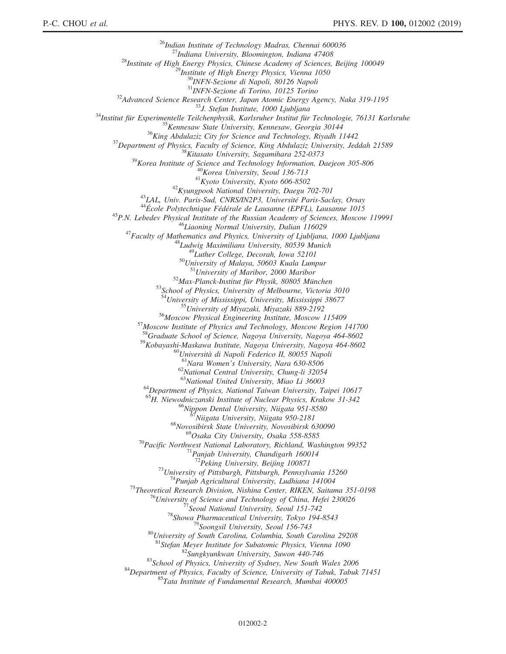<sup>26</sup>Indian Institute of Technology Madras, Chennai 600036<br><sup>27</sup>Indiana University, Bloomington, Indiana 47408<br><sup>28</sup>Institute of High Energy Physics, Chinese Academy of Sciences, Beijing 100049<br><sup>28</sup>Institute of High Energy P <sup>31</sup><br>
Advanced Science Research Center, Japan Atomic Energy Agency, Naka 319-1195<br>
<sup>31</sup> Advanced Science Research Center, Japan Atomic Energy Agency, Naka 319-1195<br>
<sup>34</sup> Institut für Experimentelle Teilchenphysik, Karlsru <sup>53</sup>School of Physics, University of Melbourne, Victoria 3010<br><sup>54</sup>University of Mississippi, University, Mississippi 38677<br><sup>55</sup>University of Miyazaki, Miyazaki 889-2192<br><sup>56</sup>Moscow Physical Engineering Institute, Moscow 11 <sup>58</sup>Graduate School of Science, Nagoya University, Nagoya 464-8602 <sup>59</sup>Kobayashi-Maskawa Institute, Nagoya University, Nagoya 464-8602<br>
<sup>60</sup>Università di Napoli Federico II, 80055 Napoli<br>
<sup>61</sup>Nara Women's University, Nara 630-8506<br>
<sup>62</sup>National Central University, Chung-li 32054<br>
<sup>63</sup>Nat <sup>64</sup>Department of Physics, National Taiwan University, Taipei 10617 <sup>65</sup>H. Niewodniczanski Institute of Nuclear Physics, Krakow 31-342<br><sup>66</sup>Nippon Dental University, Niigata 951-8580<br><sup>67</sup>Niigata University, Niigata 950-2181<br><sup>68</sup>Novosibirsk State University, Novosibirsk 630090<br><sup>69</sup>Osaka Cit <sup>70</sup>Pacific Northwest National Laboratory, Richland, Washington 99352<sup>71</sup>Panjab University, Chandigarh 160014<br><sup>72</sup>Peking University, Beijing 100871 <sup>73</sup>University of Pittsburgh, Pittsburgh, Pennsylvania 15260<br>
<sup>74</sup>Punjab Agricultural University, Ludhiana 141004<br>
<sup>75</sup>Theoretical Research Division, Nishina Center, RIKEN, Saitama 351-0198<br>
<sup>76</sup>University of Science and <sup>82</sup>Sungkyunkwan University, Suwon 440-746<br><sup>83</sup>School of Physics, University of Sydney, New South Wales 2006<br><sup>84</sup>Department of Physics, Faculty of Science, University of Tabuk, Tabuk 71451<br><sup>85</sup>Tata Institute of Fundamenta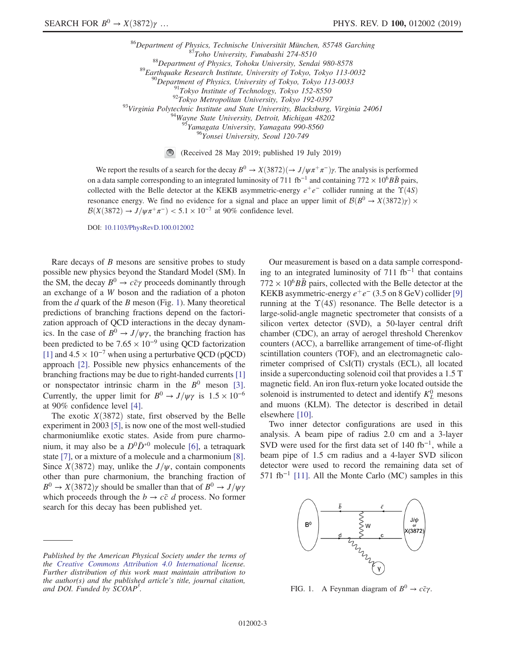<sup>86</sup>Department of Physics, Technische Universität München, 85748 Garching<br><sup>87</sup>Toho University, Funabashi 274-8510<br><sup>88</sup>Department of Physics, Tohoku University, Sendai 980-8578<br><sup>89</sup>Earthquake Research Institute, University  $^5$ Yamagata University, Yamagata 990-8560

<sup>96</sup>Yonsei University, Seoul 120-749

(Received 28 May 2019; published 19 July 2019)

We report the results of a search for the decay  $B^0 \to X(3872)(\to J/\psi \pi^+ \pi^-)\gamma$ . The analysis is performed on a data sample corresponding to an integrated luminosity of 711 fb<sup>-1</sup> and containing 772 × 10<sup>6</sup>B $\bar{B}$  pairs, collected with the Belle detector at the KEKB asymmetric-energy  $e^+e^-$  collider running at the  $\Upsilon(4S)$ resonance energy. We find no evidence for a signal and place an upper limit of  $\mathcal{B}(B^0 \to X(3872)\gamma) \times$  $B(X(3872) \rightarrow J/\psi \pi^+\pi^-)$  < 5.1 × 10<sup>-7</sup> at 90% confidence level.

DOI: [10.1103/PhysRevD.100.012002](https://doi.org/10.1103/PhysRevD.100.012002)

Rare decays of  $B$  mesons are sensitive probes to study possible new physics beyond the Standard Model (SM). In the SM, the decay  $B^0 \rightarrow c\bar{c}\gamma$  proceeds dominantly through an exchange of a W boson and the radiation of a photon from the d quark of the B meson (Fig. [1](#page-2-0)). Many theoretical predictions of branching fractions depend on the factorization approach of QCD interactions in the decay dynamics. In the case of  $B^0 \rightarrow J/\psi \gamma$ , the branching fraction has been predicted to be  $7.65 \times 10^{-9}$  using QCD factorization [\[1\]](#page-6-0) and  $4.5 \times 10^{-7}$  when using a perturbative QCD (pQCD) approach [\[2\]](#page-6-1). Possible new physics enhancements of the branching fractions may be due to right-handed currents [\[1\]](#page-6-0) or nonspectator intrinsic charm in the  $B^0$  meson [\[3\]](#page-6-2). Currently, the upper limit for  $B^0 \rightarrow J/\psi \gamma$  is  $1.5 \times 10^{-6}$ at 90% confidence level [\[4\]](#page-6-3).

The exotic  $X(3872)$  state, first observed by the Belle experiment in 2003 [\[5\]](#page-6-4), is now one of the most well-studied charmoniumlike exotic states. Aside from pure charmonium, it may also be a  $D^0\bar{D}^{*0}$  molecule [\[6\]](#page-6-5), a tetraquark state [\[7\]](#page-6-6), or a mixture of a molecule and a charmonium [\[8\]](#page-6-7). Since  $X(3872)$  may, unlike the  $J/\psi$ , contain components other than pure charmonium, the branching fraction of  $B^0 \rightarrow X(3872)\gamma$  should be smaller than that of  $B^0 \rightarrow J/\psi\gamma$ which proceeds through the  $b \rightarrow c\bar{c}$  d process. No former search for this decay has been published yet.

Our measurement is based on a data sample corresponding to an integrated luminosity of  $711$  fb<sup>-1</sup> that contains  $772 \times 10^6 B\overline{B}$  pairs, collected with the Belle detector at the KEKB asymmetric-energy  $e^+e^-$  (3.5 on 8 GeV) collider [\[9\]](#page-6-8) running at the  $\Upsilon(4S)$  resonance. The Belle detector is a large-solid-angle magnetic spectrometer that consists of a silicon vertex detector (SVD), a 50-layer central drift chamber (CDC), an array of aerogel threshold Cherenkov counters (ACC), a barrellike arrangement of time-of-flight scintillation counters (TOF), and an electromagnetic calorimeter comprised of CsI(Tl) crystals (ECL), all located inside a superconducting solenoid coil that provides a 1.5 T magnetic field. An iron flux-return yoke located outside the solenoid is instrumented to detect and identify  $K_L^0$  mesons and muons (KLM). The detector is described in detail elsewhere [\[10\].](#page-6-9)

Two inner detector configurations are used in this analysis. A beam pipe of radius 2.0 cm and a 3-layer SVD were used for the first data set of 140 fb<sup>-1</sup>, while a beam pipe of 1.5 cm radius and a 4-layer SVD silicon detector were used to record the remaining data set of 571 fb<sup>-1</sup> [\[11\].](#page-6-10) All the Monte Carlo (MC) samples in this

<span id="page-2-0"></span>

FIG. 1. A Feynman diagram of  $B^0 \rightarrow c\bar{c}\gamma$ .

Published by the American Physical Society under the terms of the [Creative Commons Attribution 4.0 International](https://creativecommons.org/licenses/by/4.0/) license. Further distribution of this work must maintain attribution to the author(s) and the published article's title, journal citation, and DOI. Funded by SCOAP<sup>3</sup>.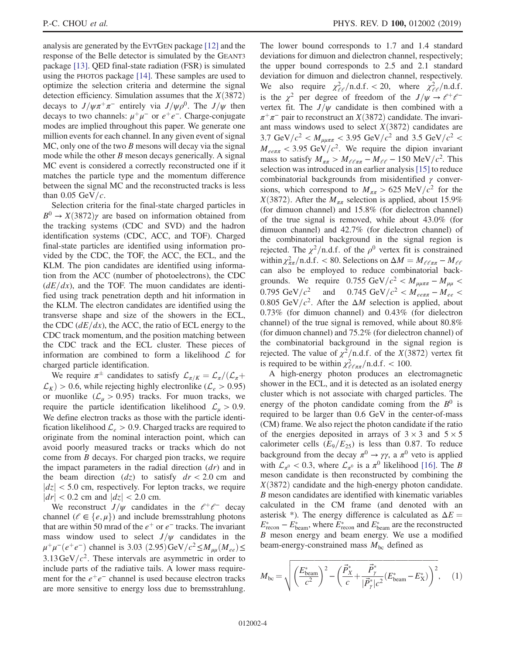analysis are generated by the EVTGEN package [\[12\]](#page-6-11) and the response of the Belle detector is simulated by the GEANT3 package [\[13\]](#page-6-12). QED final-state radiation (FSR) is simulated using the PHOTOS package [\[14\]](#page-6-13). These samples are used to optimize the selection criteria and determine the signal detection efficiency. Simulation assumes that the  $X(3872)$ decays to  $J/\psi \pi^+\pi^-$  entirely via  $J/\psi \rho^0$ . The  $J/\psi$  then decays to two channels:  $\mu^+\mu^-$  or  $e^+e^-$ . Charge-conjugate modes are implied throughout this paper. We generate one million events for each channel. In any given event of signal  $MC$ , only one of the two B mesons will decay via the signal mode while the other  $B$  meson decays generically. A signal MC event is considered a correctly reconstructed one if it matches the particle type and the momentum difference between the signal MC and the reconstructed tracks is less than  $0.05 \text{ GeV}/c$ .

Selection criteria for the final-state charged particles in  $B^0 \rightarrow X(3872)\gamma$  are based on information obtained from the tracking systems (CDC and SVD) and the hadron identification systems (CDC, ACC, and TOF). Charged final-state particles are identified using information provided by the CDC, the TOF, the ACC, the ECL, and the KLM. The pion candidates are identified using information from the ACC (number of photoelectrons), the CDC  $(dE/dx)$ , and the TOF. The muon candidates are identified using track penetration depth and hit information in the KLM. The electron candidates are identified using the transverse shape and size of the showers in the ECL, the CDC  $(dE/dx)$ , the ACC, the ratio of ECL energy to the CDC track momentum, and the position matching between the CDC track and the ECL cluster. These pieces of information are combined to form a likelihood  $\mathcal L$  for charged particle identification.

We require  $\pi^{\pm}$  candidates to satisfy  $\mathcal{L}_{\pi/K}=\mathcal{L}_{\pi}/(\mathcal{L}_{\pi}+$  $\mathcal{L}_K$ ) > 0.6, while rejecting highly electronlike ( $\mathcal{L}_e$  > 0.95) or muonlike ( $\mathcal{L}_{\mu} > 0.95$ ) tracks. For muon tracks, we require the particle identification likelihood  $\mathcal{L}_u > 0.9$ . We define electron tracks as those with the particle identification likelihood  $\mathcal{L}_e > 0.9$ . Charged tracks are required to originate from the nominal interaction point, which can avoid poorly measured tracks or tracks which do not come from B decays. For charged pion tracks, we require the impact parameters in the radial direction  $(dr)$  and in the beam direction  $(dz)$  to satisfy  $dr < 2.0$  cm and  $|dz|$  < 5.0 cm, respectively. For lepton tracks, we require  $|dr|$  < 0.2 cm and  $|dz|$  < 2.0 cm.

We reconstruct  $J/\psi$  candidates in the  $\ell^+\ell^-$  decay channel ( $\ell \in \{e, \mu\}$ ) and include bremsstrahlung photons that are within 50 mrad of the  $e^+$  or  $e^-$  tracks. The invariant mass window used to select  $J/\psi$  candidates in the  $\mu^+\mu^-(e^+e^-)$  channel is 3.03 (2.95)GeV/ $c^2 \leq M_{uu}(M_{ee}) \leq$  $3.13 \text{ GeV}/c^2$ . These intervals are asymmetric in order to include parts of the radiative tails. A lower mass requirement for the  $e^+e^-$  channel is used because electron tracks are more sensitive to energy loss due to bremsstrahlung. The lower bound corresponds to 1.7 and 1.4 standard deviations for dimuon and dielectron channel, respectively; the upper bound corresponds to 2.5 and 2.1 standard deviation for dimuon and dielectron channel, respectively. We also require  $\chi^2_{\ell\ell}/\text{n.d.f.} < 20$ , where  $\chi^2_{\ell\ell}/\text{n.d.f.}$ is the  $\chi^2$  per degree of freedom of the  $J/\psi \rightarrow e^+e^$ vertex fit. The  $J/\psi$  candidate is then combined with a  $\pi^+\pi^-$  pair to reconstruct an X(3872) candidate. The invariant mass windows used to select  $X(3872)$  candidates are 3.7 GeV/ $c^2 < M_{\mu\mu\pi\pi}$  < 3.95 GeV/ $c^2$  and 3.5 GeV/ $c^2$  <  $M_{ee\pi\pi}$  < 3.95 GeV/ $c^2$ . We require the dipion invariant mass to satisfy  $M_{\pi\pi} > M_{\ell\ell\pi\pi} - M_{\ell\ell} - 150 \text{ MeV}/c^2$ . This selection was introduced in an earlier analysis[\[15\]](#page-6-14) to reduce combinatorial backgrounds from misidentified  $\gamma$  conversions, which correspond to  $M_{\pi\pi} > 625 \text{ MeV}/c^2$  for the  $X(3872)$ . After the  $M_{\pi\pi}$  selection is applied, about 15.9% (for dimuon channel) and 15.8% (for dielectron channel) of the true signal is removed, while about 43.0% (for dimuon channel) and 42.7% (for dielectron channel) of the combinatorial background in the signal region is rejected. The  $\chi^2$ /n.d.f. of the  $\rho^0$  vertex fit is constrained within  $\chi^2_{n\pi}/\text{n.d.f.} < 80$ . Selections on  $\Delta M = M_{e\ell n\pi} - M_{e\ell}$ <br>can also be employed to reduce combinatorial backcan also be employed to reduce combinatorial backgrounds. We require  $0.755 \text{ GeV}/c^2 < M_{\mu\mu\pi\pi} - M_{\mu\mu}$ 0.795 GeV/ $c^2$  and 0.745 GeV/ $c^2 < M_{ee\pi\pi} - M_{ee}$ 0.805 GeV/ $c^2$ . After the  $\Delta M$  selection is applied, about 0.73% (for dimuon channel) and 0.43% (for dielectron channel) of the true signal is removed, while about 80.8% (for dimuon channel) and 75.2% (for dielectron channel) of the combinatorial background in the signal region is rejected. The value of  $\chi^2$ /n.d.f. of the *X*(3872) vertex fit is required to be within  $\chi^2_{\ell \ell \pi \pi}/\text{n.d.f.} < 100$ .

A high-energy photon produces an electromagnetic shower in the ECL, and it is detected as an isolated energy cluster which is not associate with charged particles. The energy of the photon candidate coming from the  $B^0$  is required to be larger than 0.6 GeV in the center-of-mass (CM) frame. We also reject the photon candidate if the ratio of the energies deposited in arrays of  $3 \times 3$  and  $5 \times 5$ calorimeter cells  $(E_9/E_{25})$  is less than 0.87. To reduce background from the decay  $\pi^0 \rightarrow \gamma \gamma$ , a  $\pi^0$  veto is applied with  $\mathcal{L}_{\pi^0}$  < 0.3, where  $\mathcal{L}_{\pi^0}$  is a  $\pi^0$  likelihood [\[16\]](#page-6-15). The B meson candidate is then reconstructed by combining the  $X(3872)$  candidate and the high-energy photon candidate. B meson candidates are identified with kinematic variables calculated in the CM frame (and denoted with an asterisk \*). The energy difference is calculated as  $\Delta E =$  $E_{\text{recon}}^* - E_{\text{beam}}^*$ , where  $E_{\text{recon}}^*$  and  $E_{\text{beam}}^*$  are the reconstructed B meson energy and beam energy. We use a modified beam-energy-constrained mass  $M_{bc}$  defined as

$$
M_{bc} = \sqrt{\left(\frac{E_{beam}^{*}}{c^{2}}\right)^{2} - \left(\frac{\vec{P}_{X}^{*}}{c} + \frac{\vec{P}_{Y}^{*}}{|\vec{P}_{Y}^{*}|c^{2}}(E_{beam}^{*} - E_{X}^{*})\right)^{2}},
$$
 (1)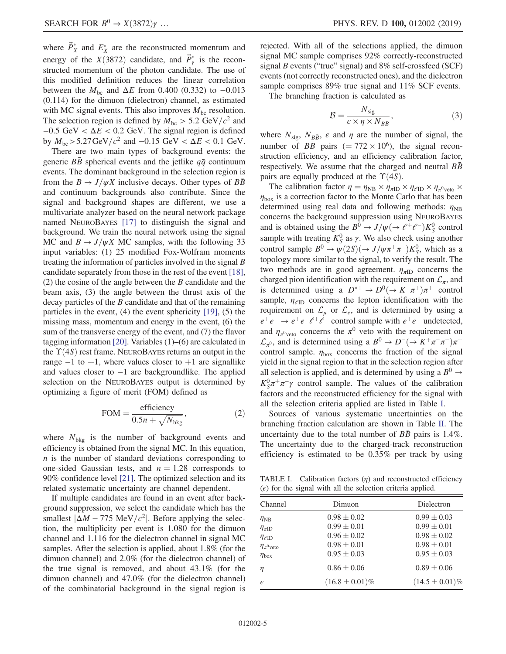where  $\vec{P}_X^*$  and  $E_X^*$  are the reconstructed momentum and energy of the  $X(3872)$  candidate, and  $\vec{P}_r^*$  is the recon-<br>structed momentum of the photon candidate. The use of structed momentum of the photon candidate. The use of this modified definition reduces the linear correlation between the  $M_{bc}$  and  $\Delta E$  from 0.400 (0.332) to -0.013 (0.114) for the dimuon (dielectron) channel, as estimated with MC signal events. This also improves  $M_{bc}$  resolution. The selection region is defined by  $M_{bc} > 5.2 \text{ GeV}/c^2$  and  $-0.5$  GeV <  $\Delta E$  < 0.2 GeV. The signal region is defined by  $M_{\text{bc}} > 5.27 \,\text{GeV}/c^2$  and  $-0.15 \,\text{GeV} < \Delta E < 0.1 \,\text{GeV}$ .

There are two main types of background events: the generic  $B\bar{B}$  spherical events and the jetlike  $q\bar{q}$  continuum events. The dominant background in the selection region is from the  $B \to J/\psi X$  inclusive decays. Other types of  $B\bar{B}$ and continuum backgrounds also contribute. Since the signal and background shapes are different, we use a multivariate analyzer based on the neural network package named NEUROBAYES [\[17\]](#page-6-16) to distinguish the signal and background. We train the neural network using the signal MC and  $B \rightarrow J/\psi X$  MC samples, with the following 33 input variables: (1) 25 modified Fox-Wolfram moments treating the information of particles involved in the signal  $B$ candidate separately from those in the rest of the event [\[18\]](#page-6-17),  $(2)$  the cosine of the angle between the B candidate and the beam axis, (3) the angle between the thrust axis of the decay particles of the B candidate and that of the remaining particles in the event, (4) the event sphericity [\[19\]](#page-7-0), (5) the missing mass, momentum and energy in the event, (6) the sum of the transverse energy of the event, and (7) the flavor tagging information [\[20\].](#page-7-1) Variables (1)–(6) are calculated in the  $\Upsilon(4S)$  rest frame. NEUROBAYES returns an output in the range  $-1$  to  $+1$ , where values closer to  $+1$  are signallike and values closer to −1 are backgroundlike. The applied selection on the NEUROBAYES output is determined by optimizing a figure of merit (FOM) defined as

$$
FOM = \frac{\text{efficiency}}{0.5n + \sqrt{N_{\text{bkg}}}},\tag{2}
$$

where  $N_{\text{bkg}}$  is the number of background events and efficiency is obtained from the signal MC. In this equation,  $n$  is the number of standard deviations corresponding to one-sided Gaussian tests, and  $n = 1.28$  corresponds to 90% confidence level [\[21\].](#page-7-2) The optimized selection and its related systematic uncertainty are channel dependent.

If multiple candidates are found in an event after background suppression, we select the candidate which has the smallest  $|\Delta M - 775 \text{ MeV}/c^2|$ . Before applying the selection, the multiplicity per event is 1.080 for the dimuon channel and 1.116 for the dielectron channel in signal MC samples. After the selection is applied, about 1.8% (for the dimuon channel) and 2.0% (for the dielectron channel) of the true signal is removed, and about 43.1% (for the dimuon channel) and 47.0% (for the dielectron channel) of the combinatorial background in the signal region is rejected. With all of the selections applied, the dimuon signal MC sample comprises 92% correctly-reconstructed signal  $B$  events ("true" signal) and  $8\%$  self-crossfeed (SCF) events (not correctly reconstructed ones), and the dielectron sample comprises 89% true signal and 11% SCF events.

The branching fraction is calculated as

$$
\mathcal{B} = \frac{N_{\text{sig}}}{\epsilon \times \eta \times N_{B\bar{B}}},\tag{3}
$$

where  $N_{\text{sig}}$ ,  $N_{B\bar{B}}$ ,  $\epsilon$  and  $\eta$  are the number of signal, the number of  $B\bar{B}$  pairs (= 772 × 10<sup>6</sup>), the signal reconstruction efficiency, and an efficiency calibration factor, respectively. We assume that the charged and neutral  $B\bar{B}$ pairs are equally produced at the  $\Upsilon(4S)$ .

The calibration factor  $\eta = \eta_{\text{NB}} \times \eta_{\text{\tiny{AID}}} \times \eta_{\text{\tiny{EID}}} \times \eta_{\text{\tiny{A}}^0 \text{veto}} \times$  $\eta_{\text{box}}$  is a correction factor to the Monte Carlo that has been determined using real data and following methods:  $\eta_{\text{NB}}$ concerns the background suppression using NEUROBAYES and is obtained using the  $B^0 \to J/\psi (\to \ell^+ \ell^-) K_0^0$  control<br>sample with treating  $K^0$  as  $\chi$ . We also check using another sample with treating  $K_S^0$  as  $\gamma$ . We also check using another control sample  $B^0 \to \psi(2S)(\to J/\psi\pi^+\pi^-)K^0_S$ , which as a topology more similar to the signal to verify the result. The topology more similar to the signal, to verify the result. The two methods are in good agreement.  $\eta_{\pi ID}$  concerns the charged pion identification with the requirement on  $\mathcal{L}_{\pi}$ , and is determined using a  $D^{*+} \to D^{0}(\to K^-\pi^+) \pi^+$  control<br>sample  $n_{\text{CD}}$  concerns the lepton identification with the sample,  $\eta_{\ell}$  concerns the lepton identification with the requirement on  $\mathcal{L}_u$  or  $\mathcal{L}_e$ , and is determined by using a  $e^+e^- \rightarrow e^+e^-e^+e^-$  control sample with  $e^+e^-$  undetected, and  $\eta_{\pi^0$ <sub>veto</sub> concerns the  $\pi^0$  veto with the requirement on  $\mathcal{L}_{\pi^0}$ , and is determined using a  $B^0 \to D^- (\to K^+\pi^-\pi^-)\pi^+$ control sample.  $\eta_{\text{box}}$  concerns the fraction of the signal yield in the signal region to that in the selection region after all selection is applied, and is determined by using a  $B^0 \rightarrow$  $K_S^0 \pi^+ \pi^- \gamma$  control sample. The values of the calibration factors and the reconstructed efficiency for the signal with all the selection criteria applied are listed in Table [I.](#page-4-0)

Sources of various systematic uncertainties on the branching fraction calculation are shown in Table [II.](#page-5-0) The uncertainty due to the total number of  $BB$  pairs is 1.4%. The uncertainty due to the charged-track reconstruction efficiency is estimated to be 0.35% per track by using

<span id="page-4-0"></span>TABLE I. Calibration factors  $(\eta)$  and reconstructed efficiency  $(\epsilon)$  for the signal with all the selection criteria applied.

| Channel                 | Dimuon              | Dielectron          |  |
|-------------------------|---------------------|---------------------|--|
| $\eta_{\rm NB}$         | $0.98 \pm 0.02$     | $0.99 \pm 0.03$     |  |
| $\eta_{\pi}$ ID         | $0.99 \pm 0.01$     | $0.99 \pm 0.01$     |  |
| $\eta_{\ell \text{ID}}$ | $0.96 \pm 0.02$     | $0.98 \pm 0.02$     |  |
| $\eta_{\pi^0$ veto      | $0.98 \pm 0.01$     | $0.98 \pm 0.01$     |  |
| $\eta_{\text{box}}$     | $0.95 \pm 0.03$     | $0.95 \pm 0.03$     |  |
| η                       | $0.86 \pm 0.06$     | $0.89 \pm 0.06$     |  |
| $\epsilon$              | $(16.8 \pm 0.01)\%$ | $(14.5 \pm 0.01)\%$ |  |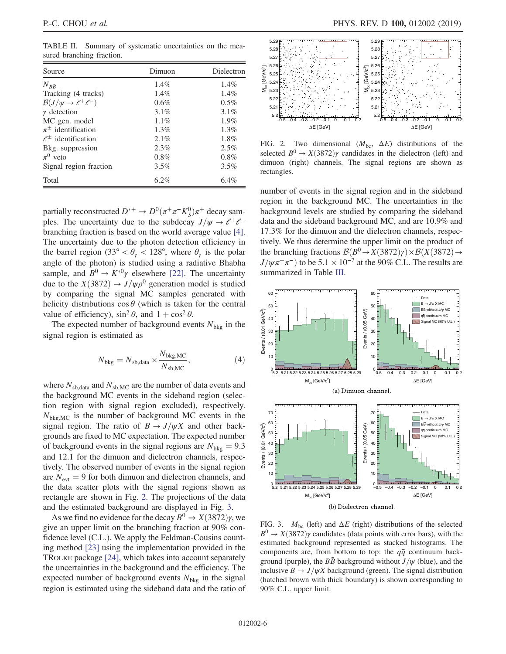<span id="page-5-0"></span>TABLE II. Summary of systematic uncertainties on the measured branching fraction.

| Source                                  | Dimuon  | Dielectron |  |
|-----------------------------------------|---------|------------|--|
| $N_{B\bar{B}}$                          | 1.4%    | $1.4\%$    |  |
| Tracking (4 tracks)                     | 1.4%    | $1.4\%$    |  |
| $\mathcal{B}(J/\psi \to \ell^+ \ell^-)$ | 0.6%    | $0.5\%$    |  |
| $\gamma$ detection                      | $3.1\%$ | 3.1%       |  |
| MC gen. model                           | $1.1\%$ | $1.9\%$    |  |
| $\pi^{\pm}$ identification              | $1.3\%$ | $1.3\%$    |  |
| $\ell^{\pm}$ identification             | 2.1%    | 1.8%       |  |
| Bkg. suppression                        | 2.3%    | 2.5%       |  |
| $\pi^0$ veto                            | 0.8%    | 0.8%       |  |
| Signal region fraction                  | 3.5%    | 3.5%       |  |
| Total                                   | $6.2\%$ | 6.4%       |  |

partially reconstructed  $D^{*+} \to D^0(\pi^+\pi^-K^0_S)\pi^+$  decay samples. The uncertainty due to the subdecay  $I/\mu \to \ell^+\ell^$ ples. The uncertainty due to the subdecay  $J/\psi \rightarrow e^+e^$ branching fraction is based on the world average value [\[4\]](#page-6-3). The uncertainty due to the photon detection efficiency in the barrel region (33° <  $\theta_{\gamma}$  < 128°, where  $\theta_{\gamma}$  is the polar angle of the photon) is studied using a radiative Bhabha sample, and  $B^0 \to K^{*0}\gamma$  elsewhere [\[22\].](#page-7-3) The uncertainty due to the  $X(3872) \rightarrow J/\psi \rho^0$  generation model is studied by comparing the signal MC samples generated with helicity distributions  $\cos \theta$  (which is taken for the central value of efficiency),  $\sin^2 \theta$ , and  $1 + \cos^2 \theta$ .

The expected number of background events  $N_{bkg}$  in the signal region is estimated as

$$
N_{\text{bkg}} = N_{\text{sb,data}} \times \frac{N_{\text{bkg,MC}}}{N_{\text{sb,MC}}},
$$
\n(4)

where  $N_{sb,data}$  and  $N_{sb,MC}$  are the number of data events and the background MC events in the sideband region (selection region with signal region excluded), respectively.  $N_{\text{bkg,MC}}$  is the number of background MC events in the signal region. The ratio of  $B \to J/\psi X$  and other backgrounds are fixed to MC expectation. The expected number of background events in the signal regions are  $N_{\text{bkg}} = 9.3$ and 12.1 for the dimuon and dielectron channels, respectively. The observed number of events in the signal region are  $N_{\text{evt}} = 9$  for both dimuon and dielectron channels, and the data scatter plots with the signal regions shown as rectangle are shown in Fig. [2](#page-5-1). The projections of the data and the estimated background are displayed in Fig. [3](#page-5-2).

As we find no evidence for the decay  $B^0 \to X(3872)\gamma$ , we give an upper limit on the branching fraction at 90% confidence level (C.L.). We apply the Feldman-Cousins counting method [\[23\]](#page-7-4) using the implementation provided in the TROLKE package [\[24\],](#page-7-5) which takes into account separately the uncertainties in the background and the efficiency. The expected number of background events  $N_{bkg}$  in the signal region is estimated using the sideband data and the ratio of

<span id="page-5-1"></span>

FIG. 2. Two dimensional  $(M_{bc}, \Delta E)$  distributions of the selected  $B^0 \rightarrow X(3872)\gamma$  candidates in the dielectron (left) and dimuon (right) channels. The signal regions are shown as rectangles.

number of events in the signal region and in the sideband region in the background MC. The uncertainties in the background levels are studied by comparing the sideband data and the sideband background MC, and are 10.9% and 17.3% for the dimuon and the dielectron channels, respectively. We thus determine the upper limit on the product of the branching fractions  $\mathcal{B}(B^0 \to X(3872)\gamma) \times \mathcal{B}(X(3872) \to$  $J/\psi \pi^+\pi^-$  to be 5.1 × 10<sup>-7</sup> at the 90% C.L. The results are summarized in Table [III](#page-6-18).

<span id="page-5-2"></span>

FIG. 3.  $M_{bc}$  (left) and  $\Delta E$  (right) distributions of the selected  $B^0 \rightarrow X(3872)\gamma$  candidates (data points with error bars), with the estimated background represented as stacked histograms. The components are, from bottom to top: the  $q\bar{q}$  continuum background (purple), the  $B\bar{B}$  background without  $J/\psi$  (blue), and the inclusive  $B \to J/\psi X$  background (green). The signal distribution (hatched brown with thick boundary) is shown corresponding to 90% C.L. upper limit.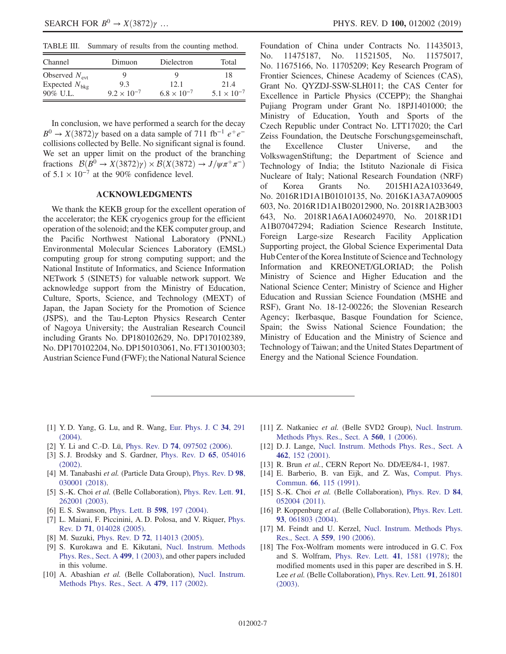<span id="page-6-18"></span>TABLE III. Summary of results from the counting method.

| Channel                   | Dimuon               | Dielectron           | Total                |
|---------------------------|----------------------|----------------------|----------------------|
| Observed $N_{\text{evt}}$ | g                    | Q                    | 18                   |
| Expected $N_{\text{bkg}}$ | 9.3                  | 12.1                 | 21.4                 |
| $90\%$ U.L.               | $9.2 \times 10^{-7}$ | $6.8 \times 10^{-7}$ | $5.1 \times 10^{-7}$ |

In conclusion, we have performed a search for the decay  $B^0 \rightarrow X(3872)\gamma$  based on a data sample of 711 fb<sup>-1</sup> e<sup>+</sup>e<sup>-</sup> collisions collected by Belle. No significant signal is found. We set an upper limit on the product of the branching fractions  $\mathcal{B}(B^0 \to X(3872)\gamma) \times \mathcal{B}(X(3872) \to J/\psi \pi^+ \pi^-)$ of  $5.1 \times 10^{-7}$  at the 90% confidence level.

## ACKNOWLEDGMENTS

We thank the KEKB group for the excellent operation of the accelerator; the KEK cryogenics group for the efficient operation of the solenoid; and the KEK computer group, and the Pacific Northwest National Laboratory (PNNL) Environmental Molecular Sciences Laboratory (EMSL) computing group for strong computing support; and the National Institute of Informatics, and Science Information NETwork 5 (SINET5) for valuable network support. We acknowledge support from the Ministry of Education, Culture, Sports, Science, and Technology (MEXT) of Japan, the Japan Society for the Promotion of Science (JSPS), and the Tau-Lepton Physics Research Center of Nagoya University; the Australian Research Council including Grants No. DP180102629, No. DP170102389, No. DP170102204, No. DP150103061, No. FT130100303; Austrian Science Fund (FWF); the National Natural Science Foundation of China under Contracts No. 11435013, No. 11475187, No. 11521505, No. 11575017, No. 11675166, No. 11705209; Key Research Program of Frontier Sciences, Chinese Academy of Sciences (CAS), Grant No. QYZDJ-SSW-SLH011; the CAS Center for Excellence in Particle Physics (CCEPP); the Shanghai Pujiang Program under Grant No. 18PJ1401000; the Ministry of Education, Youth and Sports of the Czech Republic under Contract No. LTT17020; the Carl Zeiss Foundation, the Deutsche Forschungsgemeinschaft, the Excellence Cluster Universe, and the VolkswagenStiftung; the Department of Science and Technology of India; the Istituto Nazionale di Fisica Nucleare of Italy; National Research Foundation (NRF) of Korea Grants No. 2015H1A2A1033649, No. 2016R1D1A1B01010135, No. 2016K1A3A7A09005 603, No. 2016R1D1A1B02012900, No. 2018R1A2B3003 643, No. 2018R1A6A1A06024970, No. 2018R1D1 A1B07047294; Radiation Science Research Institute, Foreign Large-size Research Facility Application Supporting project, the Global Science Experimental Data Hub Center of the Korea Institute of Science and Technology Information and KREONET/GLORIAD; the Polish Ministry of Science and Higher Education and the National Science Center; Ministry of Science and Higher Education and Russian Science Foundation (MSHE and RSF), Grant No. 18-12-00226; the Slovenian Research Agency; Ikerbasque, Basque Foundation for Science, Spain; the Swiss National Science Foundation; the Ministry of Education and the Ministry of Science and Technology of Taiwan; and the United States Department of Energy and the National Science Foundation.

- <span id="page-6-0"></span>[1] Y. D. Yang, G. Lu, and R. Wang, [Eur. Phys. J. C](https://doi.org/10.1140/epjc/s2004-01711-y) 34, 291 [\(2004\).](https://doi.org/10.1140/epjc/s2004-01711-y)
- <span id="page-6-1"></span>[2] Y. Li and C.-D. Lü, Phys. Rev. D **74**[, 097502 \(2006\).](https://doi.org/10.1103/PhysRevD.74.097502)
- <span id="page-6-2"></span>[3] S. J. Brodsky and S. Gardner, [Phys. Rev. D](https://doi.org/10.1103/PhysRevD.65.054016) 65, 054016 [\(2002\).](https://doi.org/10.1103/PhysRevD.65.054016)
- <span id="page-6-3"></span>[4] M. Tanabashi et al. (Particle Data Group), [Phys. Rev. D](https://doi.org/10.1103/PhysRevD.98.030001) 98, [030001 \(2018\).](https://doi.org/10.1103/PhysRevD.98.030001)
- <span id="page-6-4"></span>[5] S.-K. Choi et al. (Belle Collaboration), [Phys. Rev. Lett.](https://doi.org/10.1103/PhysRevLett.91.262001) 91, [262001 \(2003\).](https://doi.org/10.1103/PhysRevLett.91.262001)
- <span id="page-6-5"></span>[6] E. S. Swanson, [Phys. Lett. B](https://doi.org/10.1016/j.physletb.2004.07.059) 598, 197 (2004).
- <span id="page-6-6"></span>[7] L. Maiani, F. Piccinini, A. D. Polosa, and V. Riquer, [Phys.](https://doi.org/10.1103/PhysRevD.71.014028) Rev. D 71[, 014028 \(2005\)](https://doi.org/10.1103/PhysRevD.71.014028).
- <span id="page-6-7"></span>[8] M. Suzuki, Phys. Rev. D **72**[, 114013 \(2005\).](https://doi.org/10.1103/PhysRevD.72.114013)
- <span id="page-6-8"></span>[9] S. Kurokawa and E. Kikutani, [Nucl. Instrum. Methods](https://doi.org/10.1016/S0168-9002(02)01771-0) [Phys. Res., Sect. A](https://doi.org/10.1016/S0168-9002(02)01771-0) 499, 1 (2003), and other papers included in this volume.
- <span id="page-6-9"></span>[10] A. Abashian *et al.* (Belle Collaboration), [Nucl. Instrum.](https://doi.org/10.1016/S0168-9002(01)02013-7) [Methods Phys. Res., Sect. A](https://doi.org/10.1016/S0168-9002(01)02013-7) 479, 117 (2002).
- <span id="page-6-10"></span>[11] Z. Natkaniec et al. (Belle SVD2 Group), [Nucl. Instrum.](https://doi.org/10.1016/j.nima.2005.11.228) [Methods Phys. Res., Sect. A](https://doi.org/10.1016/j.nima.2005.11.228) 560, 1 (2006).
- <span id="page-6-11"></span>[12] D. J. Lange, [Nucl. Instrum. Methods Phys. Res., Sect. A](https://doi.org/10.1016/S0168-9002(01)00089-4) 462[, 152 \(2001\)](https://doi.org/10.1016/S0168-9002(01)00089-4).
- <span id="page-6-12"></span>[13] R. Brun et al., CERN Report No. DD/EE/84-1, 1987.
- <span id="page-6-13"></span>[14] E. Barberio, B. van Eijk, and Z. Was, [Comput. Phys.](https://doi.org/10.1016/0010-4655(91)90012-A) Commun. 66[, 115 \(1991\).](https://doi.org/10.1016/0010-4655(91)90012-A)
- <span id="page-6-14"></span>[15] S.-K. Choi et al. (Belle Collaboration), [Phys. Rev. D](https://doi.org/10.1103/PhysRevD.84.052004) 84, [052004 \(2011\).](https://doi.org/10.1103/PhysRevD.84.052004)
- <span id="page-6-15"></span>[16] P. Koppenburg et al. (Belle Collaboration), [Phys. Rev. Lett.](https://doi.org/10.1103/PhysRevLett.93.061803) 93[, 061803 \(2004\).](https://doi.org/10.1103/PhysRevLett.93.061803)
- <span id="page-6-16"></span>[17] M. Feindt and U. Kerzel, [Nucl. Instrum. Methods Phys.](https://doi.org/10.1016/j.nima.2005.11.166) [Res., Sect. A](https://doi.org/10.1016/j.nima.2005.11.166) 559, 190 (2006).
- <span id="page-6-17"></span>[18] The Fox-Wolfram moments were introduced in G.C. Fox and S. Wolfram, [Phys. Rev. Lett.](https://doi.org/10.1103/PhysRevLett.41.1581) 41, 1581 (1978); the modified moments used in this paper are described in S. H. Lee et al. (Belle Collaboration), [Phys. Rev. Lett.](https://doi.org/10.1103/PhysRevLett.91.261801) 91, 261801 [\(2003\).](https://doi.org/10.1103/PhysRevLett.91.261801)